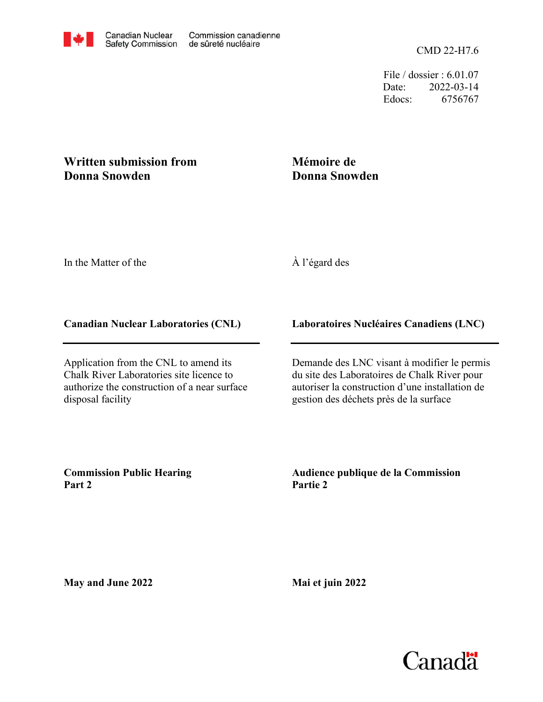CMD 22-H7.6

File / dossier : 6.01.07 Date: 2022-03-14 Edocs: 6756767

### **Written submission from Donna Snowden**

# **Mémoire de Donna Snowden**

In the Matter of the

# À l'égard des

### **Canadian Nuclear Laboratories (CNL)**

Application from the CNL to amend its Chalk River Laboratories site licence to authorize the construction of a near surface disposal facility

### **Laboratoires Nucléaires Canadiens (LNC)**

Demande des LNC visant à modifier le permis du site des Laboratoires de Chalk River pour autoriser la construction d'une installation de gestion des déchets près de la surface

**Commission Public Hearing Part 2**

**Audience publique de la Commission Partie 2**

**May and June 2022**

**Mai et juin 2022**